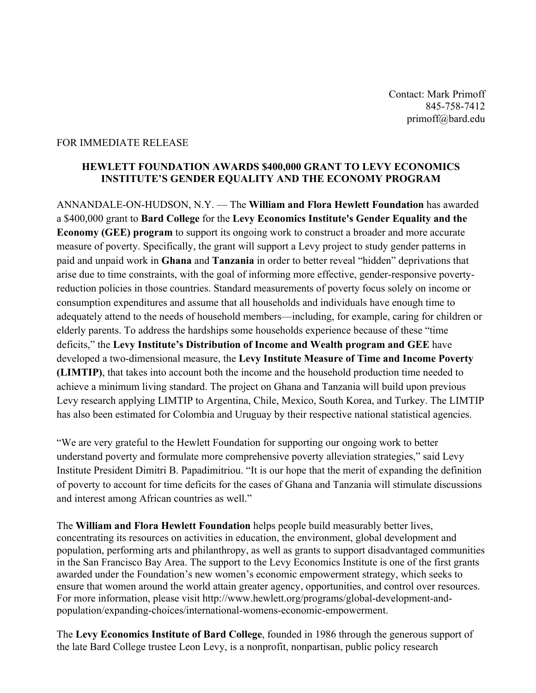Contact: Mark Primoff 845-758-7412 primoff@bard.edu

## FOR IMMEDIATE RELEASE

## **HEWLETT FOUNDATION AWARDS \$400,000 GRANT TO LEVY ECONOMICS INSTITUTE'S GENDER EQUALITY AND THE ECONOMY PROGRAM**

ANNANDALE-ON-HUDSON, N.Y. — The **William and Flora Hewlett Foundation** has awarded a \$400,000 grant to **Bard College** for the **Levy Economics Institute's Gender Equality and the Economy (GEE) program** to support its ongoing work to construct a broader and more accurate measure of poverty. Specifically, the grant will support a Levy project to study gender patterns in paid and unpaid work in **Ghana** and **Tanzania** in order to better reveal "hidden" deprivations that arise due to time constraints, with the goal of informing more effective, gender-responsive povertyreduction policies in those countries. Standard measurements of poverty focus solely on income or consumption expenditures and assume that all households and individuals have enough time to adequately attend to the needs of household members—including, for example, caring for children or elderly parents. To address the hardships some households experience because of these "time deficits," the **Levy Institute's Distribution of Income and Wealth program and GEE** have developed a two-dimensional measure, the **Levy Institute Measure of Time and Income Poverty (LIMTIP)**, that takes into account both the income and the household production time needed to achieve a minimum living standard. The project on Ghana and Tanzania will build upon previous Levy research applying LIMTIP to Argentina, Chile, Mexico, South Korea, and Turkey. The LIMTIP has also been estimated for Colombia and Uruguay by their respective national statistical agencies.

"We are very grateful to the Hewlett Foundation for supporting our ongoing work to better understand poverty and formulate more comprehensive poverty alleviation strategies," said Levy Institute President Dimitri B. Papadimitriou. "It is our hope that the merit of expanding the definition of poverty to account for time deficits for the cases of Ghana and Tanzania will stimulate discussions and interest among African countries as well."

The **William and Flora Hewlett Foundation** helps people build measurably better lives, concentrating its resources on activities in education, the environment, global development and population, performing arts and philanthropy, as well as grants to support disadvantaged communities in the San Francisco Bay Area. The support to the Levy Economics Institute is one of the first grants awarded under the Foundation's new women's economic empowerment strategy, which seeks to ensure that women around the world attain greater agency, opportunities, and control over resources. For more information, please visit http://www.hewlett.org/programs/global-development-andpopulation/expanding-choices/international-womens-economic-empowerment.

The **Levy Economics Institute of Bard College**, founded in 1986 through the generous support of the late Bard College trustee Leon Levy, is a nonprofit, nonpartisan, public policy research